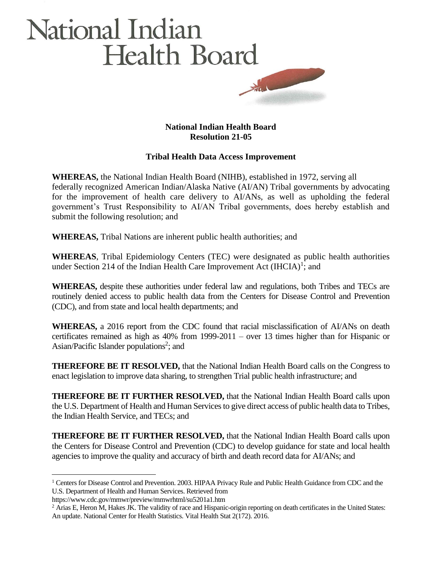## National Indian **Health Board**

## **National Indian Health Board Resolution 21-05**

## **Tribal Health Data Access Improvement**

**WHEREAS,** the National Indian Health Board (NIHB), established in 1972, serving all federally recognized American Indian/Alaska Native (AI/AN) Tribal governments by advocating for the improvement of health care delivery to AI/ANs, as well as upholding the federal government's Trust Responsibility to AI/AN Tribal governments, does hereby establish and submit the following resolution; and

**WHEREAS,** Tribal Nations are inherent public health authorities; and

**WHEREAS**, Tribal Epidemiology Centers (TEC) were designated as public health authorities under Section 214 of the Indian Health Care Improvement Act  $(IHCIA)^1$ ; and

**WHEREAS,** despite these authorities under federal law and regulations, both Tribes and TECs are routinely denied access to public health data from the Centers for Disease Control and Prevention (CDC), and from state and local health departments; and

**WHEREAS,** a 2016 report from the CDC found that racial misclassification of AI/ANs on death certificates remained as high as 40% from 1999-2011 – over 13 times higher than for Hispanic or Asian/Pacific Islander populations<sup>2</sup>; and

**THEREFORE BE IT RESOLVED,** that the National Indian Health Board calls on the Congress to enact legislation to improve data sharing, to strengthen Trial public health infrastructure; and

**THEREFORE BE IT FURTHER RESOLVED,** that the National Indian Health Board calls upon the U.S. Department of Health and Human Services to give direct access of public health data to Tribes, the Indian Health Service, and TECs; and

**THEREFORE BE IT FURTHER RESOLVED,** that the National Indian Health Board calls upon the Centers for Disease Control and Prevention (CDC) to develop guidance for state and local health agencies to improve the quality and accuracy of birth and death record data for AI/ANs; and

<sup>1</sup> Centers for Disease Control and Prevention. 2003. HIPAA Privacy Rule and Public Health Guidance from CDC and the U.S. Department of Health and Human Services. Retrieved from

https://www.cdc.gov/mmwr/preview/mmwrhtml/su5201a1.htm

<sup>&</sup>lt;sup>2</sup> Arias E, Heron M, Hakes JK. The validity of race and Hispanic-origin reporting on death certificates in the United States: An update. National Center for Health Statistics. Vital Health Stat 2(172). 2016.